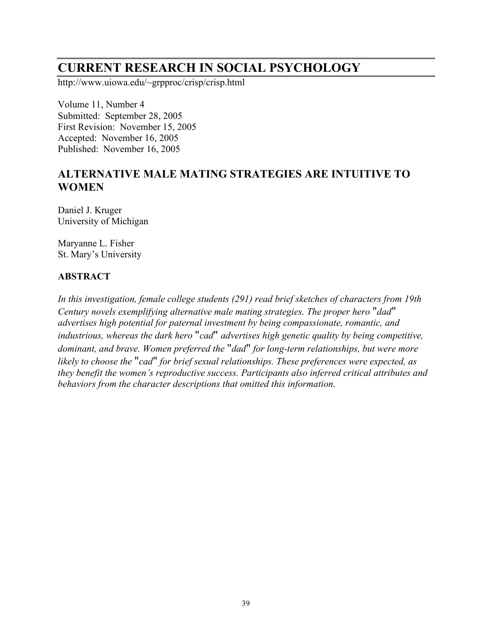# **CURRENT RESEARCH IN SOCIAL PSYCHOLOGY**

http://www.uiowa.edu/~grpproc/crisp/crisp.html

Volume 11, Number 4 Submitted: September 28, 2005 First Revision: November 15, 2005 Accepted: November 16, 2005 Published: November 16, 2005

## **ALTERNATIVE MALE MATING STRATEGIES ARE INTUITIVE TO WOMEN**

Daniel J. Kruger University of Michigan

Maryanne L. Fisher St. Mary's University

## **ABSTRACT**

*In this investigation, female college students (291) read brief sketches of characters from 19th Century novels exemplifying alternative male mating strategies. The proper hero* "*dad*" *advertises high potential for paternal investment by being compassionate, romantic, and industrious, whereas the dark hero* "*cad*" *advertises high genetic quality by being competitive, dominant, and brave. Women preferred the* "*dad*" *for long-term relationships, but were more likely to choose the* "*cad*" *for brief sexual relationships. These preferences were expected, as they benefit the women's reproductive success. Participants also inferred critical attributes and behaviors from the character descriptions that omitted this information.*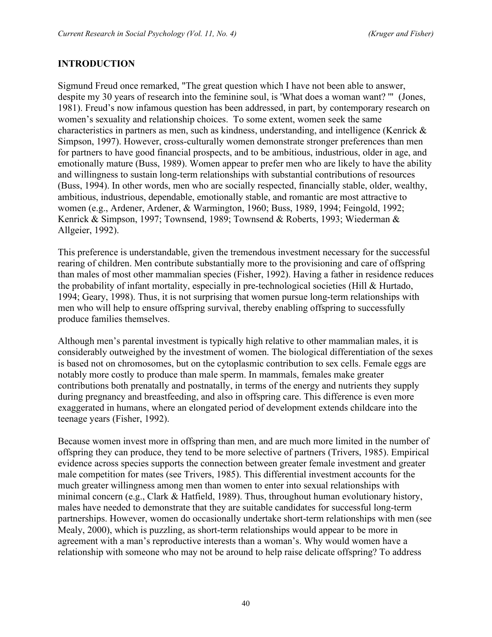#### **INTRODUCTION**

Sigmund Freud once remarked, "The great question which I have not been able to answer, despite my 30 years of research into the feminine soul, is 'What does a woman want? '" (Jones, 1981). Freud's now infamous question has been addressed, in part, by contemporary research on women's sexuality and relationship choices. To some extent, women seek the same characteristics in partners as men, such as kindness, understanding, and intelligence (Kenrick  $\&$ Simpson, 1997). However, cross-culturally women demonstrate stronger preferences than men for partners to have good financial prospects, and to be ambitious, industrious, older in age, and emotionally mature (Buss, 1989). Women appear to prefer men who are likely to have the ability and willingness to sustain long-term relationships with substantial contributions of resources (Buss, 1994). In other words, men who are socially respected, financially stable, older, wealthy, ambitious, industrious, dependable, emotionally stable, and romantic are most attractive to women (e.g., Ardener, Ardener, & Warmington, 1960; Buss, 1989, 1994; Feingold, 1992; Kenrick & Simpson, 1997; Townsend, 1989; Townsend & Roberts, 1993; Wiederman & Allgeier, 1992).

This preference is understandable, given the tremendous investment necessary for the successful rearing of children. Men contribute substantially more to the provisioning and care of offspring than males of most other mammalian species (Fisher, 1992). Having a father in residence reduces the probability of infant mortality, especially in pre-technological societies (Hill & Hurtado, 1994; Geary, 1998). Thus, it is not surprising that women pursue long-term relationships with men who will help to ensure offspring survival, thereby enabling offspring to successfully produce families themselves.

Although men's parental investment is typically high relative to other mammalian males, it is considerably outweighed by the investment of women. The biological differentiation of the sexes is based not on chromosomes, but on the cytoplasmic contribution to sex cells. Female eggs are notably more costly to produce than male sperm. In mammals, females make greater contributions both prenatally and postnatally, in terms of the energy and nutrients they supply during pregnancy and breastfeeding, and also in offspring care. This difference is even more exaggerated in humans, where an elongated period of development extends childcare into the teenage years (Fisher, 1992).

Because women invest more in offspring than men, and are much more limited in the number of offspring they can produce, they tend to be more selective of partners (Trivers, 1985). Empirical evidence across species supports the connection between greater female investment and greater male competition for mates (see Trivers, 1985). This differential investment accounts for the much greater willingness among men than women to enter into sexual relationships with minimal concern (e.g., Clark & Hatfield, 1989). Thus, throughout human evolutionary history, males have needed to demonstrate that they are suitable candidates for successful long-term partnerships. However, women do occasionally undertake short-term relationships with men (see Mealy, 2000), which is puzzling, as short-term relationships would appear to be more in agreement with a man's reproductive interests than a woman's. Why would women have a relationship with someone who may not be around to help raise delicate offspring? To address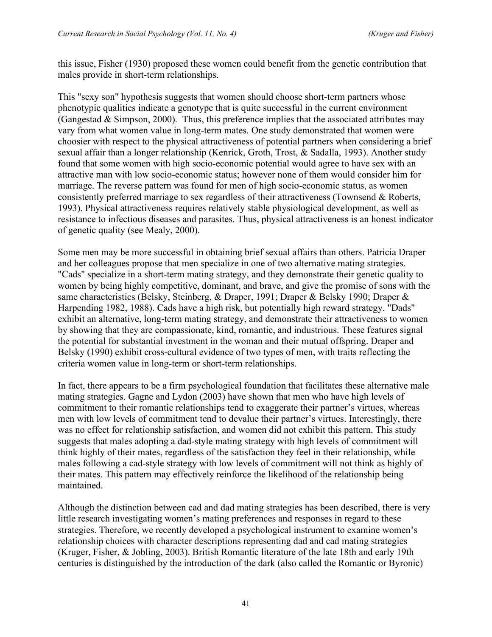this issue, Fisher (1930) proposed these women could benefit from the genetic contribution that males provide in short-term relationships.

This "sexy son" hypothesis suggests that women should choose short-term partners whose phenotypic qualities indicate a genotype that is quite successful in the current environment (Gangestad & Simpson, 2000). Thus, this preference implies that the associated attributes may vary from what women value in long-term mates. One study demonstrated that women were choosier with respect to the physical attractiveness of potential partners when considering a brief sexual affair than a longer relationship (Kenrick, Groth, Trost, & Sadalla, 1993). Another study found that some women with high socio-economic potential would agree to have sex with an attractive man with low socio-economic status; however none of them would consider him for marriage. The reverse pattern was found for men of high socio-economic status, as women consistently preferred marriage to sex regardless of their attractiveness (Townsend & Roberts, 1993). Physical attractiveness requires relatively stable physiological development, as well as resistance to infectious diseases and parasites. Thus, physical attractiveness is an honest indicator of genetic quality (see Mealy, 2000).

Some men may be more successful in obtaining brief sexual affairs than others. Patricia Draper and her colleagues propose that men specialize in one of two alternative mating strategies. "Cads" specialize in a short-term mating strategy, and they demonstrate their genetic quality to women by being highly competitive, dominant, and brave, and give the promise of sons with the same characteristics (Belsky, Steinberg, & Draper, 1991; Draper & Belsky 1990; Draper & Harpending 1982, 1988). Cads have a high risk, but potentially high reward strategy. "Dads" exhibit an alternative, long-term mating strategy, and demonstrate their attractiveness to women by showing that they are compassionate, kind, romantic, and industrious. These features signal the potential for substantial investment in the woman and their mutual offspring. Draper and Belsky (1990) exhibit cross-cultural evidence of two types of men, with traits reflecting the criteria women value in long-term or short-term relationships.

In fact, there appears to be a firm psychological foundation that facilitates these alternative male mating strategies. Gagne and Lydon (2003) have shown that men who have high levels of commitment to their romantic relationships tend to exaggerate their partner's virtues, whereas men with low levels of commitment tend to devalue their partner's virtues. Interestingly, there was no effect for relationship satisfaction, and women did not exhibit this pattern. This study suggests that males adopting a dad-style mating strategy with high levels of commitment will think highly of their mates, regardless of the satisfaction they feel in their relationship, while males following a cad-style strategy with low levels of commitment will not think as highly of their mates. This pattern may effectively reinforce the likelihood of the relationship being maintained.

Although the distinction between cad and dad mating strategies has been described, there is very little research investigating women's mating preferences and responses in regard to these strategies. Therefore, we recently developed a psychological instrument to examine women's relationship choices with character descriptions representing dad and cad mating strategies (Kruger, Fisher, & Jobling, 2003). British Romantic literature of the late 18th and early 19th centuries is distinguished by the introduction of the dark (also called the Romantic or Byronic)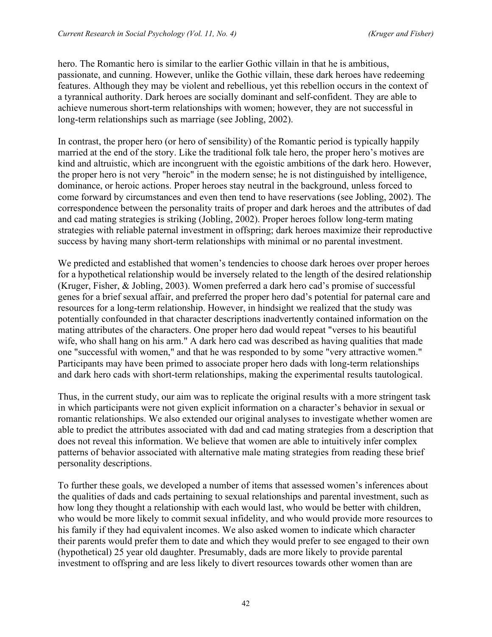hero. The Romantic hero is similar to the earlier Gothic villain in that he is ambitious, passionate, and cunning. However, unlike the Gothic villain, these dark heroes have redeeming features. Although they may be violent and rebellious, yet this rebellion occurs in the context of a tyrannical authority. Dark heroes are socially dominant and self-confident. They are able to achieve numerous short-term relationships with women; however, they are not successful in long-term relationships such as marriage (see Jobling, 2002).

In contrast, the proper hero (or hero of sensibility) of the Romantic period is typically happily married at the end of the story. Like the traditional folk tale hero, the proper hero's motives are kind and altruistic, which are incongruent with the egoistic ambitions of the dark hero. However, the proper hero is not very "heroic" in the modern sense; he is not distinguished by intelligence, dominance, or heroic actions. Proper heroes stay neutral in the background, unless forced to come forward by circumstances and even then tend to have reservations (see Jobling, 2002). The correspondence between the personality traits of proper and dark heroes and the attributes of dad and cad mating strategies is striking (Jobling, 2002). Proper heroes follow long-term mating strategies with reliable paternal investment in offspring; dark heroes maximize their reproductive success by having many short-term relationships with minimal or no parental investment.

We predicted and established that women's tendencies to choose dark heroes over proper heroes for a hypothetical relationship would be inversely related to the length of the desired relationship (Kruger, Fisher, & Jobling, 2003). Women preferred a dark hero cad's promise of successful genes for a brief sexual affair, and preferred the proper hero dad's potential for paternal care and resources for a long-term relationship. However, in hindsight we realized that the study was potentially confounded in that character descriptions inadvertently contained information on the mating attributes of the characters. One proper hero dad would repeat "verses to his beautiful wife, who shall hang on his arm." A dark hero cad was described as having qualities that made one "successful with women," and that he was responded to by some "very attractive women." Participants may have been primed to associate proper hero dads with long-term relationships and dark hero cads with short-term relationships, making the experimental results tautological.

Thus, in the current study, our aim was to replicate the original results with a more stringent task in which participants were not given explicit information on a character's behavior in sexual or romantic relationships. We also extended our original analyses to investigate whether women are able to predict the attributes associated with dad and cad mating strategies from a description that does not reveal this information. We believe that women are able to intuitively infer complex patterns of behavior associated with alternative male mating strategies from reading these brief personality descriptions.

To further these goals, we developed a number of items that assessed women's inferences about the qualities of dads and cads pertaining to sexual relationships and parental investment, such as how long they thought a relationship with each would last, who would be better with children, who would be more likely to commit sexual infidelity, and who would provide more resources to his family if they had equivalent incomes. We also asked women to indicate which character their parents would prefer them to date and which they would prefer to see engaged to their own (hypothetical) 25 year old daughter. Presumably, dads are more likely to provide parental investment to offspring and are less likely to divert resources towards other women than are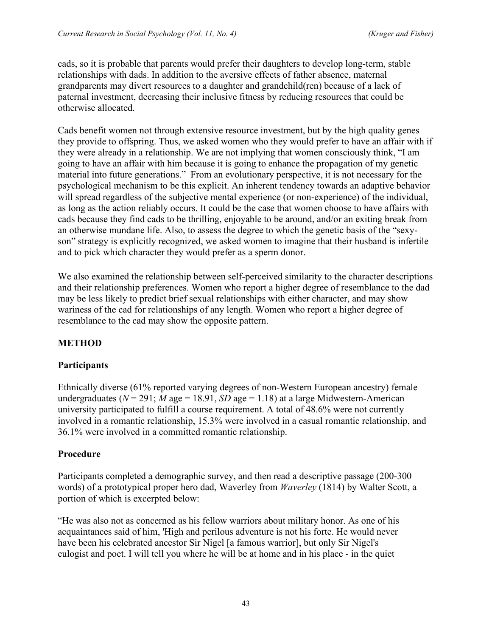cads, so it is probable that parents would prefer their daughters to develop long-term, stable relationships with dads. In addition to the aversive effects of father absence, maternal grandparents may divert resources to a daughter and grandchild(ren) because of a lack of paternal investment, decreasing their inclusive fitness by reducing resources that could be otherwise allocated.

Cads benefit women not through extensive resource investment, but by the high quality genes they provide to offspring. Thus, we asked women who they would prefer to have an affair with if they were already in a relationship. We are not implying that women consciously think, "I am going to have an affair with him because it is going to enhance the propagation of my genetic material into future generations." From an evolutionary perspective, it is not necessary for the psychological mechanism to be this explicit. An inherent tendency towards an adaptive behavior will spread regardless of the subjective mental experience (or non-experience) of the individual, as long as the action reliably occurs. It could be the case that women choose to have affairs with cads because they find cads to be thrilling, enjoyable to be around, and/or an exiting break from an otherwise mundane life. Also, to assess the degree to which the genetic basis of the "sexyson" strategy is explicitly recognized, we asked women to imagine that their husband is infertile and to pick which character they would prefer as a sperm donor.

We also examined the relationship between self-perceived similarity to the character descriptions and their relationship preferences. Women who report a higher degree of resemblance to the dad may be less likely to predict brief sexual relationships with either character, and may show wariness of the cad for relationships of any length. Women who report a higher degree of resemblance to the cad may show the opposite pattern.

## **METHOD**

## **Participants**

Ethnically diverse (61% reported varying degrees of non-Western European ancestry) female undergraduates ( $N = 291$ ; *M* age = 18.91, *SD* age = 1.18) at a large Midwestern-American university participated to fulfill a course requirement. A total of 48.6% were not currently involved in a romantic relationship, 15.3% were involved in a casual romantic relationship, and 36.1% were involved in a committed romantic relationship.

## **Procedure**

Participants completed a demographic survey, and then read a descriptive passage (200-300 words) of a prototypical proper hero dad, Waverley from *Waverley* (1814) by Walter Scott, a portion of which is excerpted below:

"He was also not as concerned as his fellow warriors about military honor. As one of his acquaintances said of him, 'High and perilous adventure is not his forte. He would never have been his celebrated ancestor Sir Nigel [a famous warrior], but only Sir Nigel's eulogist and poet. I will tell you where he will be at home and in his place - in the quiet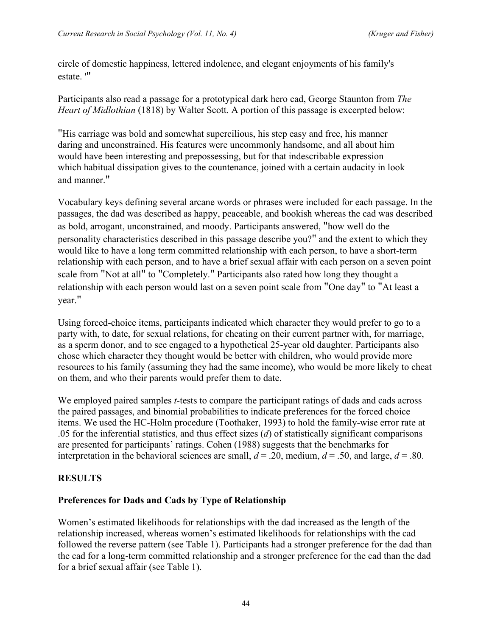circle of domestic happiness, lettered indolence, and elegant enjoyments of his family's estate. '"

Participants also read a passage for a prototypical dark hero cad, George Staunton from *The Heart of Midlothian* (1818) by Walter Scott. A portion of this passage is excerpted below:

"His carriage was bold and somewhat supercilious, his step easy and free, his manner daring and unconstrained. His features were uncommonly handsome, and all about him would have been interesting and prepossessing, but for that indescribable expression which habitual dissipation gives to the countenance, joined with a certain audacity in look and manner."

Vocabulary keys defining several arcane words or phrases were included for each passage. In the passages, the dad was described as happy, peaceable, and bookish whereas the cad was described as bold, arrogant, unconstrained, and moody. Participants answered, "how well do the personality characteristics described in this passage describe you?" and the extent to which they would like to have a long term committed relationship with each person, to have a short-term relationship with each person, and to have a brief sexual affair with each person on a seven point scale from "Not at all" to "Completely." Participants also rated how long they thought a relationship with each person would last on a seven point scale from "One day" to "At least a year."

Using forced-choice items, participants indicated which character they would prefer to go to a party with, to date, for sexual relations, for cheating on their current partner with, for marriage, as a sperm donor, and to see engaged to a hypothetical 25-year old daughter. Participants also chose which character they thought would be better with children, who would provide more resources to his family (assuming they had the same income), who would be more likely to cheat on them, and who their parents would prefer them to date.

We employed paired samples *t*-tests to compare the participant ratings of dads and cads across the paired passages, and binomial probabilities to indicate preferences for the forced choice items. We used the HC-Holm procedure (Toothaker, 1993) to hold the family-wise error rate at .05 for the inferential statistics, and thus effect sizes (*d*) of statistically significant comparisons are presented for participants' ratings. Cohen (1988) suggests that the benchmarks for interpretation in the behavioral sciences are small,  $d = 0.20$ , medium,  $d = 0.50$ , and large,  $d = 0.80$ .

## **RESULTS**

## **Preferences for Dads and Cads by Type of Relationship**

Women's estimated likelihoods for relationships with the dad increased as the length of the relationship increased, whereas women's estimated likelihoods for relationships with the cad followed the reverse pattern (see Table 1). Participants had a stronger preference for the dad than the cad for a long-term committed relationship and a stronger preference for the cad than the dad for a brief sexual affair (see Table 1).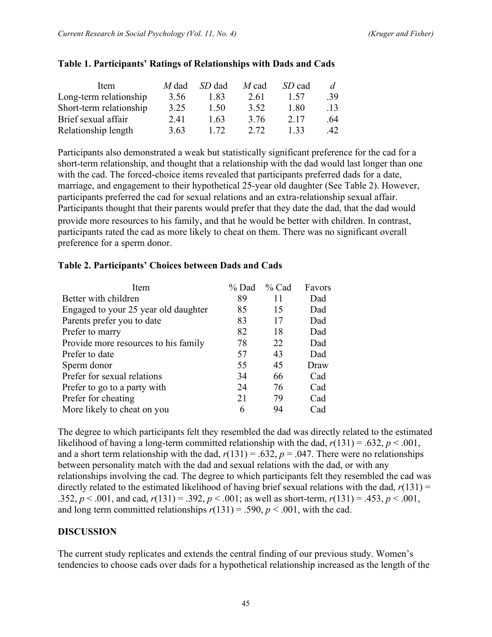| Item                    | M dad | SD dad | $M$ cad | SD cad | $d_{\cdot}$ |
|-------------------------|-------|--------|---------|--------|-------------|
| Long-term relationship  | 3.56  | 183    | 2.61    | 1.57   | .39         |
| Short-term relationship | 3.25  | 1.50   | 3.52    | 180    | .13         |
| Brief sexual affair     | 2.41  | 1.63   | 3.76    | 2.17   | .64         |
| Relationship length     | 3.63  | 1.72   | 2.72    | 1 33   | .42         |

#### **Table 1. Participants' Ratings of Relationships with Dads and Cads**

Participants also demonstrated a weak but statistically significant preference for the cad for a short-term relationship, and thought that a relationship with the dad would last longer than one with the cad. The forced-choice items revealed that participants preferred dads for a date, marriage, and engagement to their hypothetical 25-year old daughter (See Table 2). However, participants preferred the cad for sexual relations and an extra-relationship sexual affair. Participants thought that their parents would prefer that they date the dad, that the dad would provide more resources to his family, and that he would be better with children. In contrast, participants rated the cad as more likely to cheat on them. There was no significant overall preference for a sperm donor.

#### **Table 2. Participants' Choices between Dads and Cads**

| % Dad | $%$ Cad | Favors |
|-------|---------|--------|
| 89    | 11      | Dad    |
| 85    | 15      | Dad    |
| 83    | 17      | Dad    |
| 82    | 18      | Dad    |
| 78    | 22      | Dad    |
| 57    | 43      | Dad    |
| 55    | 45      | Draw   |
| 34    | 66      | Cad    |
| 24    | 76      | Cad    |
| 21    | 79      | Cad    |
| 6     | 94      | Cad    |
|       |         |        |

The degree to which participants felt they resembled the dad was directly related to the estimated likelihood of having a long-term committed relationship with the dad,  $r(131) = .632$ ,  $p < .001$ , and a short term relationship with the dad,  $r(131) = .632$ ,  $p = .047$ . There were no relationships between personality match with the dad and sexual relations with the dad, or with any relationships involving the cad. The degree to which participants felt they resembled the cad was directly related to the estimated likelihood of having brief sexual relations with the dad,  $r(131) =$ .352,  $p < .001$ , and cad,  $r(131) = .392$ ,  $p < .001$ ; as well as short-term,  $r(131) = .453$ ,  $p < .001$ , and long term committed relationships  $r(131) = .590$ ,  $p < .001$ , with the cad.

## **DISCUSSION**

The current study replicates and extends the central finding of our previous study. Women's tendencies to choose cads over dads for a hypothetical relationship increased as the length of the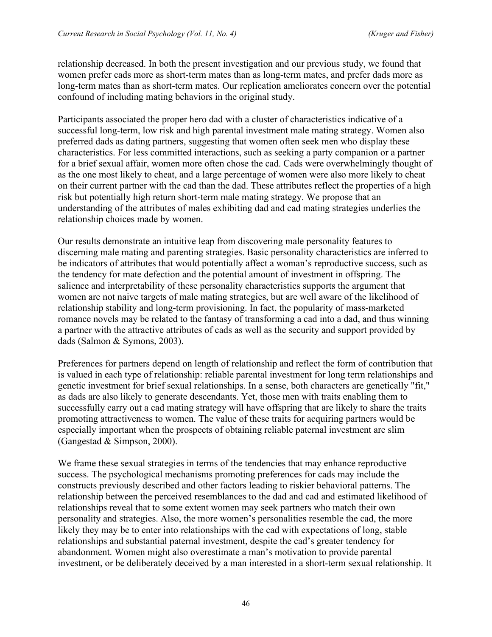relationship decreased. In both the present investigation and our previous study, we found that women prefer cads more as short-term mates than as long-term mates, and prefer dads more as long-term mates than as short-term mates. Our replication ameliorates concern over the potential confound of including mating behaviors in the original study.

Participants associated the proper hero dad with a cluster of characteristics indicative of a successful long-term, low risk and high parental investment male mating strategy. Women also preferred dads as dating partners, suggesting that women often seek men who display these characteristics. For less committed interactions, such as seeking a party companion or a partner for a brief sexual affair, women more often chose the cad. Cads were overwhelmingly thought of as the one most likely to cheat, and a large percentage of women were also more likely to cheat on their current partner with the cad than the dad. These attributes reflect the properties of a high risk but potentially high return short-term male mating strategy. We propose that an understanding of the attributes of males exhibiting dad and cad mating strategies underlies the relationship choices made by women.

Our results demonstrate an intuitive leap from discovering male personality features to discerning male mating and parenting strategies. Basic personality characteristics are inferred to be indicators of attributes that would potentially affect a woman's reproductive success, such as the tendency for mate defection and the potential amount of investment in offspring. The salience and interpretability of these personality characteristics supports the argument that women are not naive targets of male mating strategies, but are well aware of the likelihood of relationship stability and long-term provisioning. In fact, the popularity of mass-marketed romance novels may be related to the fantasy of transforming a cad into a dad, and thus winning a partner with the attractive attributes of cads as well as the security and support provided by dads (Salmon & Symons, 2003).

Preferences for partners depend on length of relationship and reflect the form of contribution that is valued in each type of relationship: reliable parental investment for long term relationships and genetic investment for brief sexual relationships. In a sense, both characters are genetically "fit," as dads are also likely to generate descendants. Yet, those men with traits enabling them to successfully carry out a cad mating strategy will have offspring that are likely to share the traits promoting attractiveness to women. The value of these traits for acquiring partners would be especially important when the prospects of obtaining reliable paternal investment are slim (Gangestad & Simpson, 2000).

We frame these sexual strategies in terms of the tendencies that may enhance reproductive success. The psychological mechanisms promoting preferences for cads may include the constructs previously described and other factors leading to riskier behavioral patterns. The relationship between the perceived resemblances to the dad and cad and estimated likelihood of relationships reveal that to some extent women may seek partners who match their own personality and strategies. Also, the more women's personalities resemble the cad, the more likely they may be to enter into relationships with the cad with expectations of long, stable relationships and substantial paternal investment, despite the cad's greater tendency for abandonment. Women might also overestimate a man's motivation to provide parental investment, or be deliberately deceived by a man interested in a short-term sexual relationship. It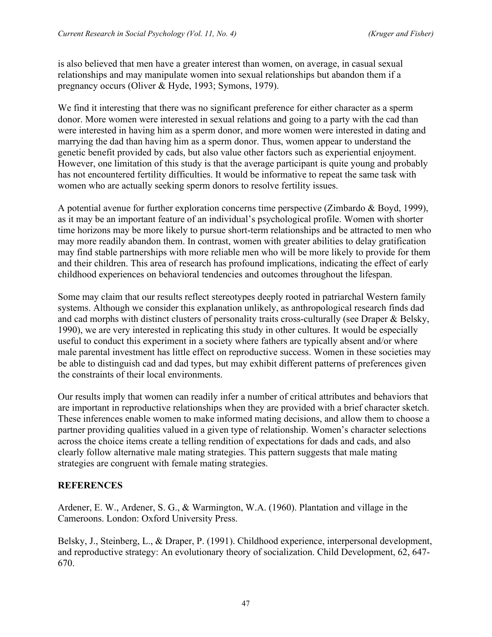is also believed that men have a greater interest than women, on average, in casual sexual relationships and may manipulate women into sexual relationships but abandon them if a pregnancy occurs (Oliver & Hyde, 1993; Symons, 1979).

We find it interesting that there was no significant preference for either character as a sperm donor. More women were interested in sexual relations and going to a party with the cad than were interested in having him as a sperm donor, and more women were interested in dating and marrying the dad than having him as a sperm donor. Thus, women appear to understand the genetic benefit provided by cads, but also value other factors such as experiential enjoyment. However, one limitation of this study is that the average participant is quite young and probably has not encountered fertility difficulties. It would be informative to repeat the same task with women who are actually seeking sperm donors to resolve fertility issues.

A potential avenue for further exploration concerns time perspective (Zimbardo & Boyd, 1999), as it may be an important feature of an individual's psychological profile. Women with shorter time horizons may be more likely to pursue short-term relationships and be attracted to men who may more readily abandon them. In contrast, women with greater abilities to delay gratification may find stable partnerships with more reliable men who will be more likely to provide for them and their children. This area of research has profound implications, indicating the effect of early childhood experiences on behavioral tendencies and outcomes throughout the lifespan.

Some may claim that our results reflect stereotypes deeply rooted in patriarchal Western family systems. Although we consider this explanation unlikely, as anthropological research finds dad and cad morphs with distinct clusters of personality traits cross-culturally (see Draper & Belsky, 1990), we are very interested in replicating this study in other cultures. It would be especially useful to conduct this experiment in a society where fathers are typically absent and/or where male parental investment has little effect on reproductive success. Women in these societies may be able to distinguish cad and dad types, but may exhibit different patterns of preferences given the constraints of their local environments.

Our results imply that women can readily infer a number of critical attributes and behaviors that are important in reproductive relationships when they are provided with a brief character sketch. These inferences enable women to make informed mating decisions, and allow them to choose a partner providing qualities valued in a given type of relationship. Women's character selections across the choice items create a telling rendition of expectations for dads and cads, and also clearly follow alternative male mating strategies. This pattern suggests that male mating strategies are congruent with female mating strategies.

## **REFERENCES**

Ardener, E. W., Ardener, S. G., & Warmington, W.A. (1960). Plantation and village in the Cameroons. London: Oxford University Press.

Belsky, J., Steinberg, L., & Draper, P. (1991). Childhood experience, interpersonal development, and reproductive strategy: An evolutionary theory of socialization. Child Development, 62, 647- 670.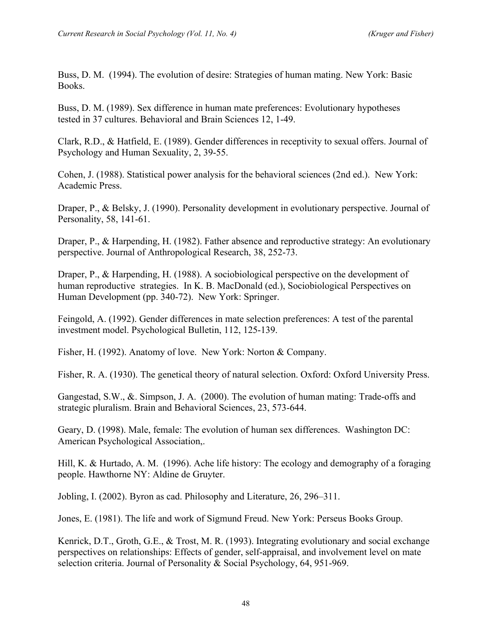Buss, D. M. (1994). The evolution of desire: Strategies of human mating. New York: Basic Books.

Buss, D. M. (1989). Sex difference in human mate preferences: Evolutionary hypotheses tested in 37 cultures. Behavioral and Brain Sciences 12, 1-49.

Clark, R.D., & Hatfield, E. (1989). Gender differences in receptivity to sexual offers. Journal of Psychology and Human Sexuality, 2, 39-55.

Cohen, J. (1988). Statistical power analysis for the behavioral sciences (2nd ed.). New York: Academic Press.

Draper, P., & Belsky, J. (1990). Personality development in evolutionary perspective. Journal of Personality, 58, 141-61.

Draper, P., & Harpending, H. (1982). Father absence and reproductive strategy: An evolutionary perspective. Journal of Anthropological Research, 38, 252-73.

Draper, P., & Harpending, H. (1988). A sociobiological perspective on the development of human reproductive strategies. In K. B. MacDonald (ed.), Sociobiological Perspectives on Human Development (pp. 340-72). New York: Springer.

Feingold, A. (1992). Gender differences in mate selection preferences: A test of the parental investment model. Psychological Bulletin, 112, 125-139.

Fisher, H. (1992). Anatomy of love. New York: Norton & Company.

Fisher, R. A. (1930). The genetical theory of natural selection. Oxford: Oxford University Press.

Gangestad, S.W., &. Simpson, J. A. (2000). The evolution of human mating: Trade-offs and strategic pluralism. Brain and Behavioral Sciences, 23, 573-644.

Geary, D. (1998). Male, female: The evolution of human sex differences. Washington DC: American Psychological Association,.

Hill, K. & Hurtado, A. M. (1996). Ache life history: The ecology and demography of a foraging people. Hawthorne NY: Aldine de Gruyter.

Jobling, I. (2002). Byron as cad. Philosophy and Literature, 26, 296–311.

Jones, E. (1981). The life and work of Sigmund Freud. New York: Perseus Books Group.

Kenrick, D.T., Groth, G.E., & Trost, M. R. (1993). Integrating evolutionary and social exchange perspectives on relationships: Effects of gender, self-appraisal, and involvement level on mate selection criteria. Journal of Personality & Social Psychology, 64, 951-969.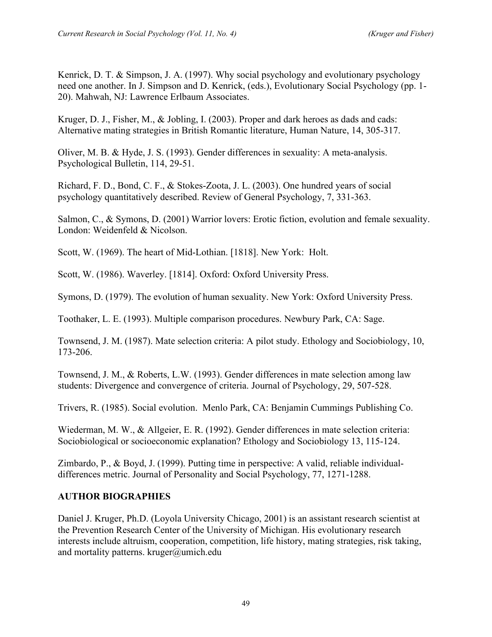Kenrick, D. T. & Simpson, J. A. (1997). Why social psychology and evolutionary psychology need one another. In J. Simpson and D. Kenrick, (eds.), Evolutionary Social Psychology (pp. 1- 20). Mahwah, NJ: Lawrence Erlbaum Associates.

Kruger, D. J., Fisher, M., & Jobling, I. (2003). Proper and dark heroes as dads and cads: Alternative mating strategies in British Romantic literature, Human Nature, 14, 305-317.

Oliver, M. B. & Hyde, J. S. (1993). Gender differences in sexuality: A meta-analysis. Psychological Bulletin, 114, 29-51.

Richard, F. D., Bond, C. F., & Stokes-Zoota, J. L. (2003). One hundred years of social psychology quantitatively described. Review of General Psychology, 7, 331-363.

Salmon, C., & Symons, D. (2001) Warrior lovers: Erotic fiction, evolution and female sexuality. London: Weidenfeld & Nicolson.

Scott, W. (1969). The heart of Mid-Lothian. [1818]. New York: Holt.

Scott, W. (1986). Waverley. [1814]. Oxford: Oxford University Press.

Symons, D. (1979). The evolution of human sexuality. New York: Oxford University Press.

Toothaker, L. E. (1993). Multiple comparison procedures. Newbury Park, CA: Sage.

Townsend, J. M. (1987). Mate selection criteria: A pilot study. Ethology and Sociobiology, 10, 173-206.

Townsend, J. M., & Roberts, L.W. (1993). Gender differences in mate selection among law students: Divergence and convergence of criteria. Journal of Psychology, 29, 507-528.

Trivers, R. (1985). Social evolution. Menlo Park, CA: Benjamin Cummings Publishing Co.

Wiederman, M. W., & Allgeier, E. R. (1992). Gender differences in mate selection criteria: Sociobiological or socioeconomic explanation? Ethology and Sociobiology 13, 115-124.

Zimbardo, P., & Boyd, J. (1999). Putting time in perspective: A valid, reliable individualdifferences metric. Journal of Personality and Social Psychology, 77, 1271-1288.

## **AUTHOR BIOGRAPHIES**

Daniel J. Kruger, Ph.D. (Loyola University Chicago, 2001) is an assistant research scientist at the Prevention Research Center of the University of Michigan. His evolutionary research interests include altruism, cooperation, competition, life history, mating strategies, risk taking, and mortality patterns. kruger@umich.edu